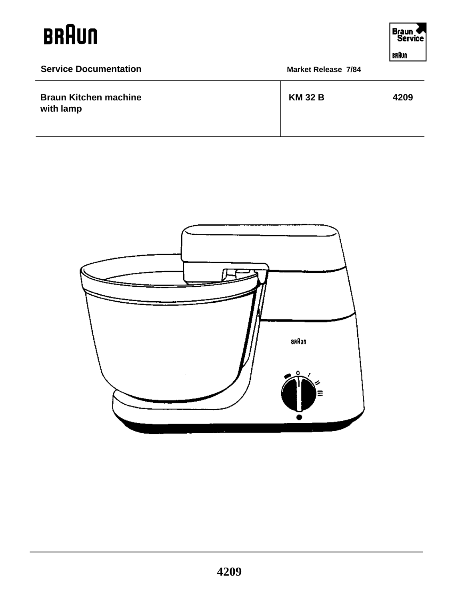$\overline{a}$ 



| <b>Service Documentation</b>              | <b>Market Release 7/84</b> |      |
|-------------------------------------------|----------------------------|------|
| <b>Braun Kitchen machine</b><br>with lamp | <b>KM 32 B</b>             | 4209 |

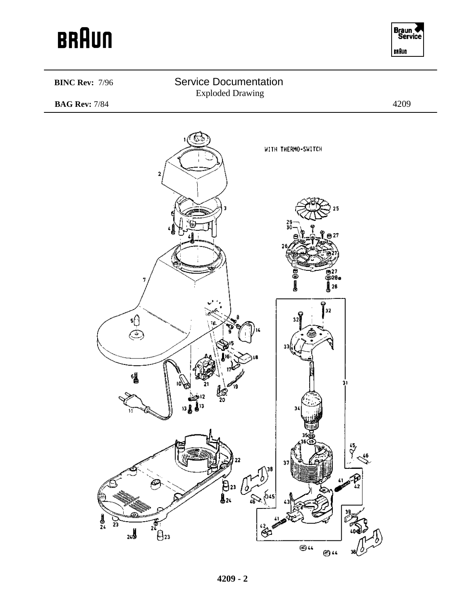

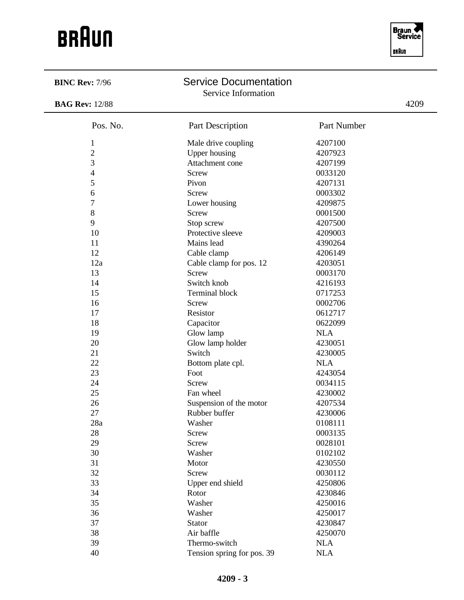| <b>BINC Rev: 7/96</b> | <b>Service Documentation</b><br>Service Information |             |      |
|-----------------------|-----------------------------------------------------|-------------|------|
| <b>BAG Rev: 12/88</b> |                                                     |             | 4209 |
| Pos. No.              | Part Description                                    | Part Number |      |
| 1                     | Male drive coupling                                 | 4207100     |      |
| $\overline{2}$        | <b>Upper housing</b>                                | 4207923     |      |
| 3                     | Attachment cone                                     | 4207199     |      |
| 4                     | Screw                                               | 0033120     |      |
| 5                     | Pivon                                               | 4207131     |      |
| 6                     | Screw                                               | 0003302     |      |
| 7                     | Lower housing                                       | 4209875     |      |
| 8                     | Screw                                               | 0001500     |      |
| 9                     | Stop screw                                          | 4207500     |      |
| 10                    | Protective sleeve                                   | 4209003     |      |
| 11                    | Mains lead                                          | 4390264     |      |
| 12                    | Cable clamp                                         | 4206149     |      |
| 12a                   | Cable clamp for pos. 12                             | 4203051     |      |
| 13                    | <b>Screw</b>                                        | 0003170     |      |
| 14                    | Switch knob                                         | 4216193     |      |
| 15                    | <b>Terminal block</b>                               | 0717253     |      |
| 16                    | <b>Screw</b>                                        | 0002706     |      |
| 17                    | Resistor                                            | 0612717     |      |
| 18                    | Capacitor                                           | 0622099     |      |
| 19                    | Glow lamp                                           | <b>NLA</b>  |      |
| 20                    | Glow lamp holder                                    | 4230051     |      |
| 21                    | Switch                                              | 4230005     |      |
| 22                    | Bottom plate cpl.                                   | <b>NLA</b>  |      |
| 23                    | Foot                                                | 4243054     |      |
| 24                    | <b>Screw</b>                                        | 0034115     |      |
| 25                    | Fan wheel                                           | 4230002     |      |
| 26                    | Suspension of the motor                             | 4207534     |      |
| 27                    | Rubber buffer                                       | 4230006     |      |
| 28a                   | Washer                                              | 0108111     |      |
| 28                    | Screw                                               | 0003135     |      |
| 29                    | <b>Screw</b>                                        | 0028101     |      |
| 30                    | Washer                                              | 0102102     |      |
| 31                    | Motor                                               | 4230550     |      |
| 32                    | Screw                                               | 0030112     |      |
| 33                    | Upper end shield                                    | 4250806     |      |
| 34                    | Rotor                                               | 4230846     |      |
| 35                    | Washer                                              | 4250016     |      |
| 36                    | Washer                                              | 4250017     |      |
| 37                    | Stator                                              | 4230847     |      |
| 38                    | Air baffle                                          | 4250070     |      |
| 39                    | Thermo-switch                                       | <b>NLA</b>  |      |
| 40                    | Tension spring for pos. 39                          | <b>NLA</b>  |      |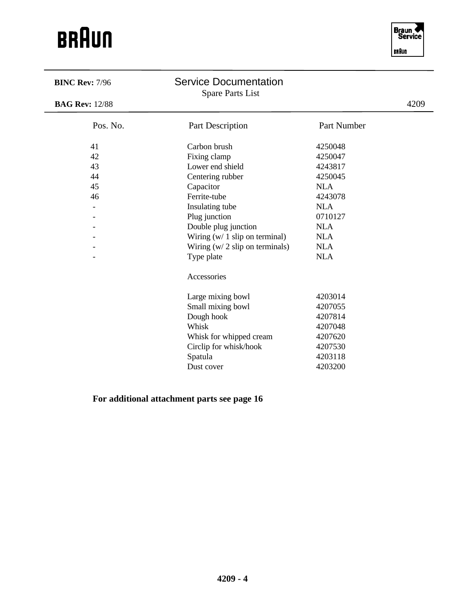| <b>BINC Rev: 7/96</b>    | <b>Service Documentation</b><br><b>Spare Parts List</b> |             |      |
|--------------------------|---------------------------------------------------------|-------------|------|
| <b>BAG Rev: 12/88</b>    |                                                         |             | 4209 |
| Pos. No.                 | Part Description                                        | Part Number |      |
| 41                       | Carbon brush                                            | 4250048     |      |
| 42                       | Fixing clamp                                            | 4250047     |      |
| 43                       | Lower end shield                                        | 4243817     |      |
| 44                       | Centering rubber                                        | 4250045     |      |
| 45                       | Capacitor                                               | <b>NLA</b>  |      |
| 46                       | Ferrite-tube                                            | 4243078     |      |
| $\overline{\phantom{a}}$ | Insulating tube                                         | <b>NLA</b>  |      |
|                          | Plug junction                                           | 0710127     |      |
|                          | Double plug junction                                    | <b>NLA</b>  |      |
|                          | Wiring $(w / 1 \text{ slip on terminal})$               | <b>NLA</b>  |      |
|                          | Wiring $(w / 2 \text{ slip on terminals})$              | <b>NLA</b>  |      |
|                          | Type plate                                              | <b>NLA</b>  |      |
|                          | Accessories                                             |             |      |
|                          | Large mixing bowl                                       | 4203014     |      |
|                          | Small mixing bowl                                       | 4207055     |      |
|                          | Dough hook                                              | 4207814     |      |
|                          | Whisk                                                   | 4207048     |      |
|                          | Whisk for whipped cream                                 | 4207620     |      |
|                          | Circlip for whisk/hook                                  | 4207530     |      |
|                          | Spatula                                                 | 4203118     |      |
|                          | Dust cover                                              | 4203200     |      |

**For additional attachment parts see page 16**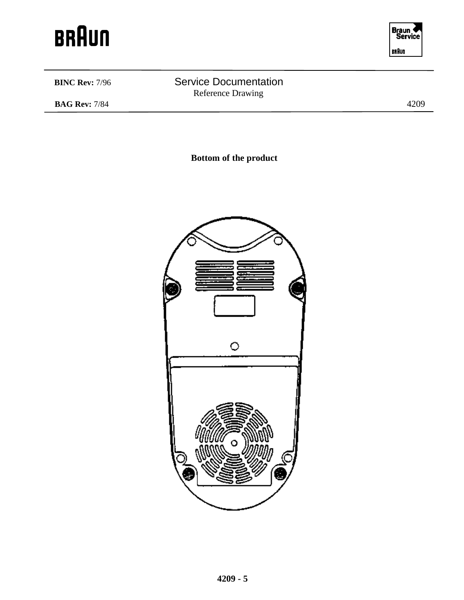



### **BINC Rev:** 7/96 Service Documentation Reference Drawing **BAG Rev:** 7/84 4209

**Bottom of the product**

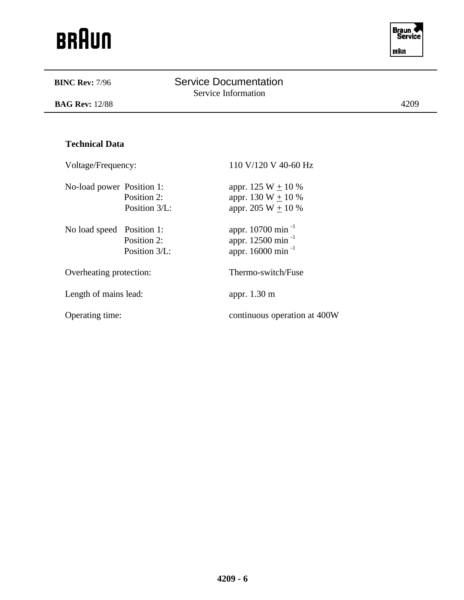

| <b>BINC Rev: 7/96</b>     |                              | <b>Service Documentation</b><br>Service Information                                             |      |
|---------------------------|------------------------------|-------------------------------------------------------------------------------------------------|------|
| <b>BAG Rev: 12/88</b>     |                              |                                                                                                 | 4209 |
|                           |                              |                                                                                                 |      |
| <b>Technical Data</b>     |                              |                                                                                                 |      |
| Voltage/Frequency:        |                              | 110 V/120 V 40-60 Hz                                                                            |      |
| No-load power Position 1: | Position 2:<br>Position 3/L: | appr. 125 W $\pm$ 10 %<br>appr. 130 W + 10 %<br>appr. 205 W $\pm$ 10 %                          |      |
| No load speed Position 1: | Position 2:<br>Position 3/L: | appr. 10700 min <sup>-1</sup><br>appr. 12500 min <sup>-1</sup><br>appr. 16000 min <sup>-1</sup> |      |
| Overheating protection:   |                              | Thermo-switch/Fuse                                                                              |      |
| Length of mains lead:     |                              | appr. 1.30 m                                                                                    |      |
| Operating time:           |                              | continuous operation at 400W                                                                    |      |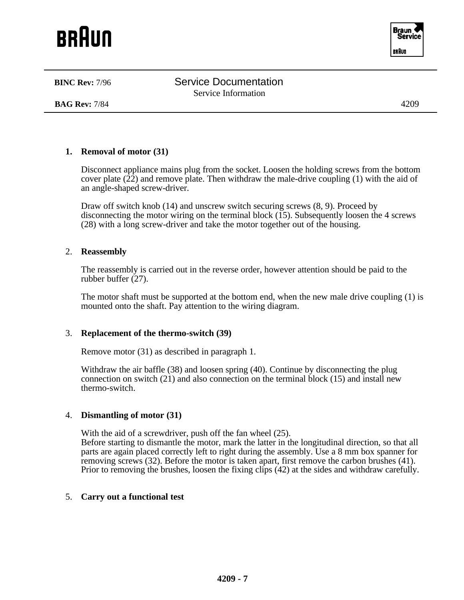**BAG Rev:** 7/84 4209

### **1. Removal of motor (31)**

Disconnect appliance mains plug from the socket. Loosen the holding screws from the bottom cover plate  $(2\overline{2})$  and remove plate. Then withdraw the male-drive coupling (1) with the aid of an angle-shaped screw-driver.

Draw off switch knob (14) and unscrew switch securing screws (8, 9). Proceed by disconnecting the motor wiring on the terminal block  $(15)$ . Subsequently loosen the 4 screws (28) with a long screw-driver and take the motor together out of the housing.

### 2. **Reassembly**

The reassembly is carried out in the reverse order, however attention should be paid to the rubber buffer (27).

The motor shaft must be supported at the bottom end, when the new male drive coupling (1) is mounted onto the shaft. Pay attention to the wiring diagram.

### 3. **Replacement of the thermo-switch (39)**

Remove motor (31) as described in paragraph 1.

Withdraw the air baffle (38) and loosen spring (40). Continue by disconnecting the plug connection on switch (21) and also connection on the terminal block (15) and install new thermo-switch.

### 4. **Dismantling of motor (31)**

With the aid of a screwdriver, push off the fan wheel (25).

Before starting to dismantle the motor, mark the latter in the longitudinal direction, so that all parts are again placed correctly left to right during the assembly. Use a 8 mm box spanner for removing screws (32). Before the motor is taken apart, first remove the carbon brushes (41). Prior to removing the brushes, loosen the fixing clips (42) at the sides and withdraw carefully.

### 5. **Carry out a functional test**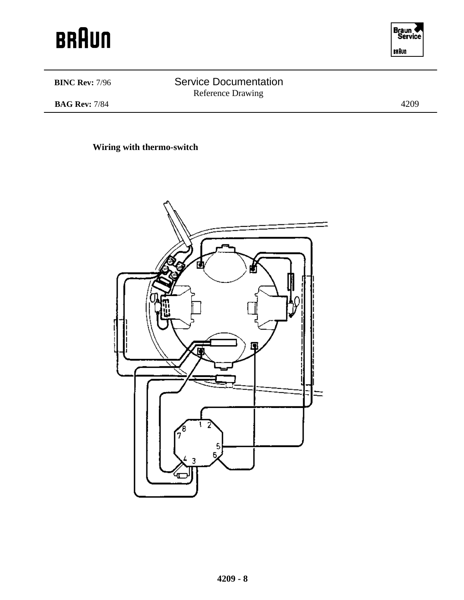



**BINC Rev: 7/96** Service Documentation Reference Drawing

**BAG Rev:** 7/84 4209

**Wiring with thermo-switch**

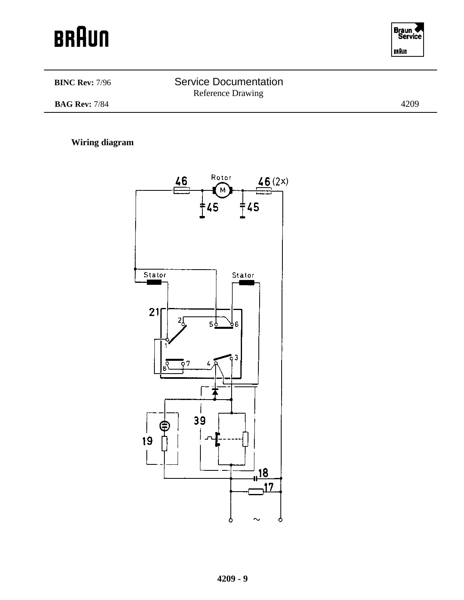



### **BINC Rev: 7/96** Service Documentation Reference Drawing **BAG Rev:** 7/84 4209

### **Wiring diagram**

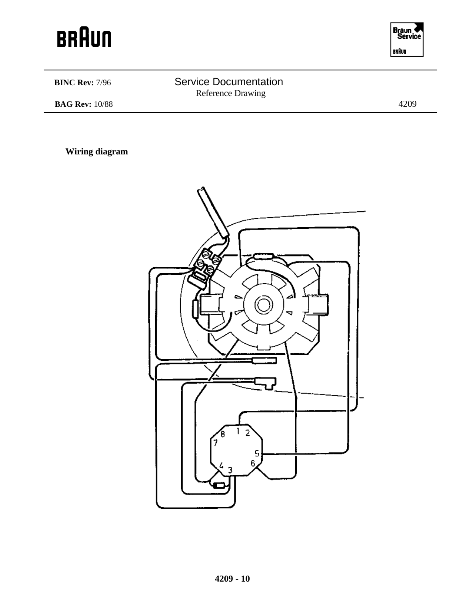



| <b>BINC Rev: 7/96</b> | <b>Service Documentation</b><br><b>Reference Drawing</b> |      |
|-----------------------|----------------------------------------------------------|------|
| <b>BAG Rev:</b> 10/88 |                                                          | 4209 |
|                       |                                                          |      |

**Wiring diagram**

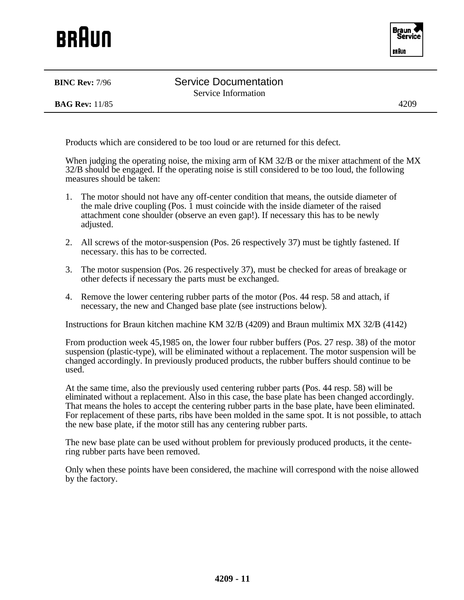**BINC Rev:** 7/96 Service Documentation Service Information

**BAG Rev:** 11/85 4209

Products which are considered to be too loud or are returned for this defect.

When judging the operating noise, the mixing arm of KM 32/B or the mixer attachment of the MX 32/B should be engaged. If the operating noise is still considered to be too loud, the following measures should be taken:

- 1. The motor should not have any off-center condition that means, the outside diameter of the male drive coupling (Pos. 1 must coincide with the inside diameter of the raised attachment cone shoulder (observe an even gap!). If necessary this has to be newly adjusted.
- 2. All screws of the motor-suspension (Pos. 26 respectively 37) must be tightly fastened. If necessary. this has to be corrected.
- 3. The motor suspension (Pos. 26 respectively 37), must be checked for areas of breakage or other defects if necessary the parts must be exchanged.
- 4. Remove the lower centering rubber parts of the motor (Pos. 44 resp. 58 and attach, if necessary, the new and Changed base plate (see instructions below).

Instructions for Braun kitchen machine KM 32/B (4209) and Braun multimix MX 32/B (4142)

From production week 45,1985 on, the lower four rubber buffers (Pos. 27 resp. 38) of the motor suspension (plastic-type), will be eliminated without a replacement. The motor suspension will be changed accordingly. In previously produced products, the rubber buffers should continue to be used.

At the same time, also the previously used centering rubber parts (Pos. 44 resp. 58) will be eliminated without a replacement. Also in this case, the base plate has been changed accordingly. That means the holes to accept the centering rubber parts in the base plate, have been eliminated. For replacement of these parts, ribs have been molded in the same spot. It is not possible, to attach the new base plate, if the motor still has any centering rubber parts.

The new base plate can be used without problem for previously produced products, it the centering rubber parts have been removed.

Only when these points have been considered, the machine will correspond with the noise allowed by the factory.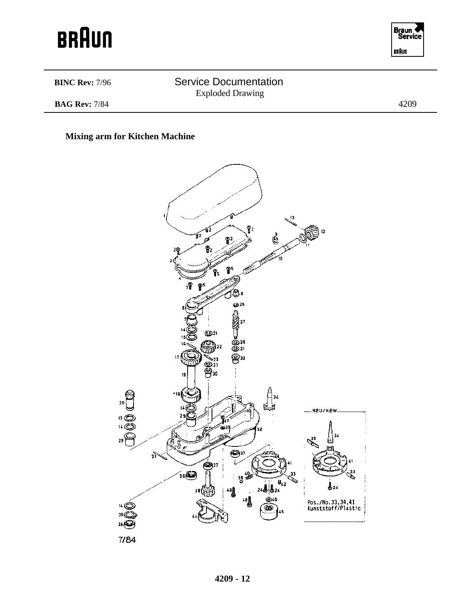



### **BINC Rev: 7/96** Service Documentation Exploded Drawing **BAG Rev:** 7/84 4209

### **Mixing arm for Kitchen Machine**

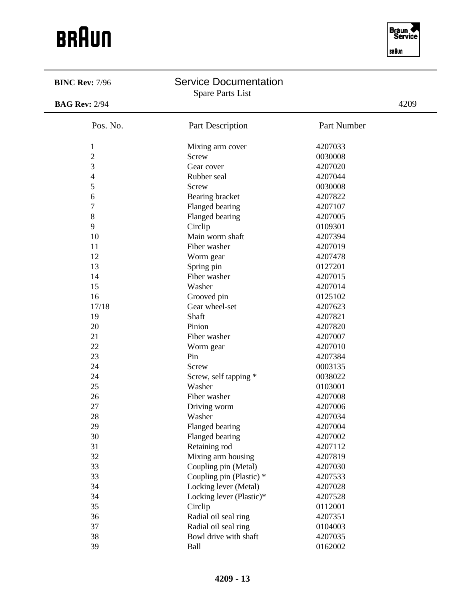

| <b>BINC Rev: 7/96</b> | <b>Service Documentation</b><br><b>Spare Parts List</b> |             |      |
|-----------------------|---------------------------------------------------------|-------------|------|
| <b>BAG Rev: 2/94</b>  |                                                         |             | 4209 |
| Pos. No.              | Part Description                                        | Part Number |      |
| $\mathbf{1}$          | Mixing arm cover                                        | 4207033     |      |
| $\overline{c}$        | Screw                                                   | 0030008     |      |
| 3                     | Gear cover                                              | 4207020     |      |
| 4                     | Rubber seal                                             | 4207044     |      |
| 5                     | <b>Screw</b>                                            | 0030008     |      |
| 6                     | Bearing bracket                                         | 4207822     |      |
| $\overline{7}$        | Flanged bearing                                         | 4207107     |      |
| 8                     | Flanged bearing                                         | 4207005     |      |
| 9                     | Circlip                                                 | 0109301     |      |
| 10                    | Main worm shaft                                         | 4207394     |      |
| 11                    | Fiber washer                                            | 4207019     |      |
| 12                    | Worm gear                                               | 4207478     |      |
| 13                    | Spring pin                                              | 0127201     |      |
| 14                    | Fiber washer                                            | 4207015     |      |
| 15                    | Washer                                                  | 4207014     |      |
| 16                    | Grooved pin                                             | 0125102     |      |
| 17/18                 | Gear wheel-set                                          | 4207623     |      |
| 19                    | Shaft                                                   | 4207821     |      |
| 20                    | Pinion                                                  | 4207820     |      |
| 21                    | Fiber washer                                            | 4207007     |      |
| 22                    | Worm gear                                               | 4207010     |      |
| 23                    | Pin                                                     | 4207384     |      |
| 24                    | <b>Screw</b>                                            | 0003135     |      |
| 24                    | Screw, self tapping *                                   | 0038022     |      |
| 25                    | Washer                                                  | 0103001     |      |
| 26                    | Fiber washer                                            | 4207008     |      |
| 27                    | Driving worm                                            | 4207006     |      |
| 28                    | Washer                                                  | 4207034     |      |
| 29                    | Flanged bearing                                         | 4207004     |      |
| 30                    | Flanged bearing                                         | 4207002     |      |
| 31                    | Retaining rod                                           | 4207112     |      |
| 32                    | Mixing arm housing                                      | 4207819     |      |
| 33                    | Coupling pin (Metal)                                    | 4207030     |      |
| 33                    | Coupling pin (Plastic) *                                | 4207533     |      |
| 34                    | Locking lever (Metal)                                   | 4207028     |      |
| 34                    | Locking lever (Plastic)*                                | 4207528     |      |
| 35                    | Circlip                                                 | 0112001     |      |
| 36                    | Radial oil seal ring                                    | 4207351     |      |
| 37                    |                                                         |             |      |
|                       | Radial oil seal ring                                    | 0104003     |      |
| 38                    | Bowl drive with shaft                                   | 4207035     |      |
| 39                    | Ball                                                    | 0162002     |      |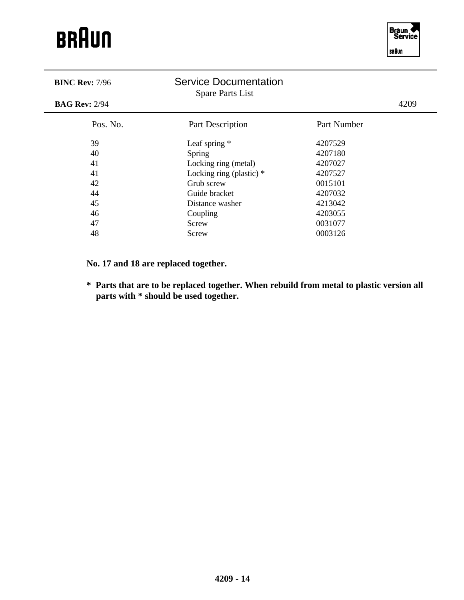

| <b>BINC Rev: 7/96</b> | <b>Service Documentation</b><br><b>Spare Parts List</b> |             |      |
|-----------------------|---------------------------------------------------------|-------------|------|
| <b>BAG Rev: 2/94</b>  |                                                         |             | 4209 |
| Pos. No.              | Part Description                                        | Part Number |      |
| 39                    | Leaf spring $*$                                         | 4207529     |      |
| 40                    | Spring                                                  | 4207180     |      |
| 41                    | Locking ring (metal)                                    | 4207027     |      |
| 41                    | Locking ring (plastic) *                                | 4207527     |      |
| 42                    | Grub screw                                              | 0015101     |      |
| 44                    | Guide bracket                                           | 4207032     |      |
| 45                    | Distance washer                                         | 4213042     |      |
| 46                    | Coupling                                                | 4203055     |      |
| 47                    | Screw                                                   | 0031077     |      |
| 48                    | Screw                                                   | 0003126     |      |

**No. 17 and 18 are replaced together.**

**\* Parts that are to be replaced together. When rebuild from metal to plastic version all parts with \* should be used together.**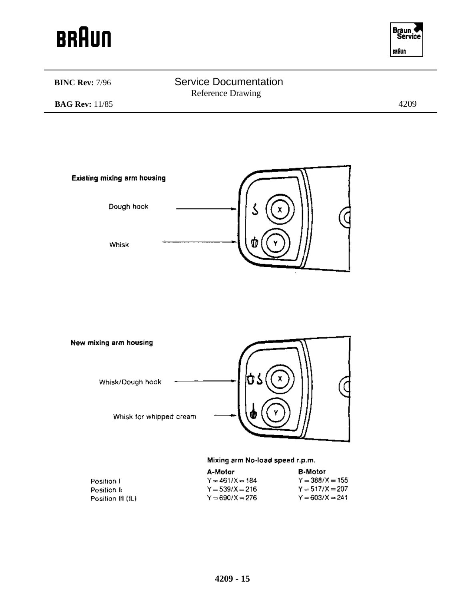



### **BINC Rev: 7/96** Service Documentation Reference Drawing **BAG Rev:** 11/85 4209





### Mixing arm No-load speed r.p.m.

|                   | A-Motor           | <b>B-Motor</b>    |
|-------------------|-------------------|-------------------|
| Position L        | $Y = 461/X = 184$ | $Y = 388/X = 155$ |
| Position II       | $Y = 539/X = 216$ | $Y = 517/X = 207$ |
| Position III (IL) | $Y = 690/X = 276$ | $Y = 603/X = 241$ |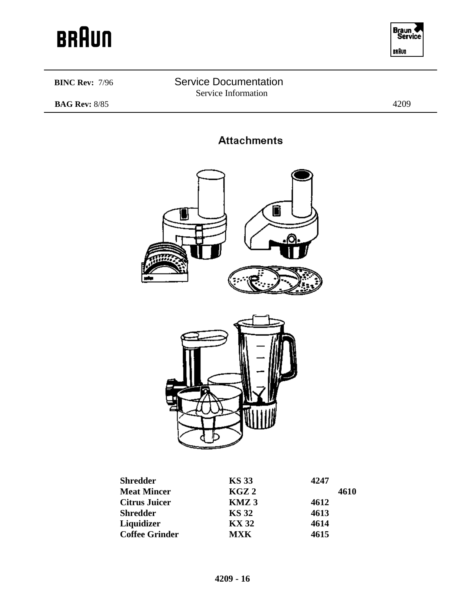



### **BINC Rev:** 7/96 Service Documentation Service Information

**BAG Rev:** 8/85 4209

### **Attachments**





| <b>Shredder</b>       | <b>KS 33</b>     | 4247 |
|-----------------------|------------------|------|
| <b>Meat Mincer</b>    | KGZ2             | 4610 |
| <b>Citrus Juicer</b>  | KMZ <sub>3</sub> | 4612 |
| <b>Shredder</b>       | <b>KS 32</b>     | 4613 |
| Liquidizer            | <b>KX 32</b>     | 4614 |
| <b>Coffee Grinder</b> | <b>MXK</b>       | 4615 |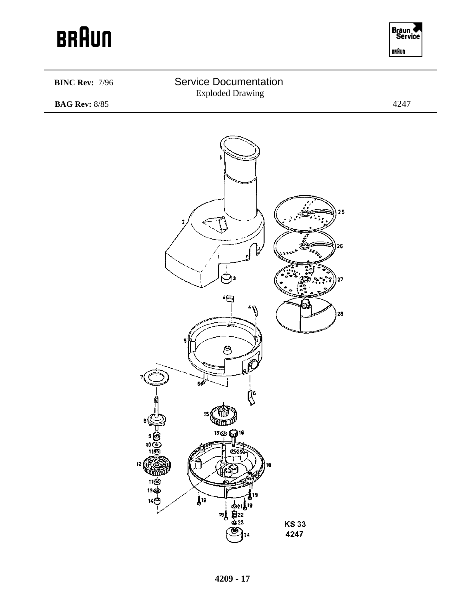

### **BINC Rev:** 7/96 Service Documentation Exploded Drawing **BAG Rev:** 8/85 4247 25 26 وت b. '日  $\theta^*$ 28 è. පි  $\oint_{\rm e}$ ЧŨ 1f m<sub>ini</sub>s <u> "စရား</u><br>————— 10  $\circledcirc$ mm  $1199$ l9  $\int d\theta$  $14$  $O$

**KS33** 4247

**4209 - 17**

 $[3] \begin{array}{c} 1 \\ 6 \\ 2 \\ 19 \\ 6 \\ 23 \end{array}$ 

24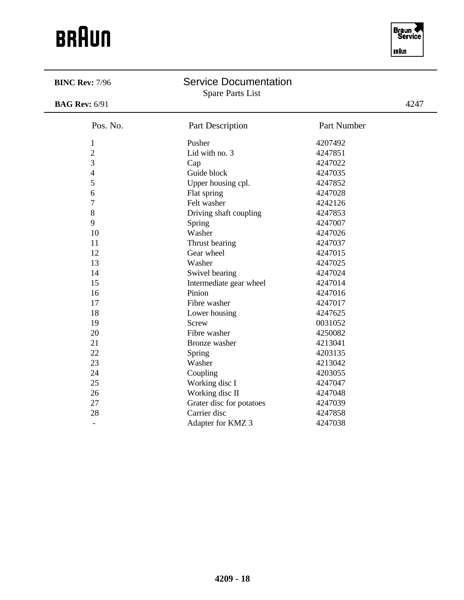

 $\overline{\phantom{0}}$ 

| <b>BINC Rev: 7/96</b>    | <b>Service Documentation</b><br><b>Spare Parts List</b> |             |      |
|--------------------------|---------------------------------------------------------|-------------|------|
| <b>BAG Rev: 6/91</b>     |                                                         |             | 4247 |
| Pos. No.                 | Part Description                                        | Part Number |      |
| $\mathbf{1}$             | Pusher                                                  | 4207492     |      |
| $\overline{2}$           | Lid with no. 3                                          | 4247851     |      |
| 3                        | Cap                                                     | 4247022     |      |
| $\overline{\mathcal{A}}$ | Guide block                                             | 4247035     |      |
| 5                        | Upper housing cpl.                                      | 4247852     |      |
| 6                        | Flat spring                                             | 4247028     |      |
| $\overline{7}$           | Felt washer                                             | 4242126     |      |
| 8                        | Driving shaft coupling                                  | 4247853     |      |
| 9                        | Spring                                                  | 4247007     |      |
| 10                       | Washer                                                  | 4247026     |      |
| 11                       | Thrust bearing                                          | 4247037     |      |
| 12                       | Gear wheel                                              | 4247015     |      |
| 13                       | Washer                                                  | 4247025     |      |
| 14                       | Swivel bearing                                          | 4247024     |      |
| 15                       | Intermediate gear wheel                                 | 4247014     |      |
| 16                       | Pinion                                                  | 4247016     |      |
| 17                       | Fibre washer                                            | 4247017     |      |
| 18                       | Lower housing                                           | 4247625     |      |
| 19                       | Screw                                                   | 0031052     |      |
| 20                       | Fibre washer                                            | 4250082     |      |
| 21                       | Bronze washer                                           | 4213041     |      |
| 22                       | Spring                                                  | 4203135     |      |
| 23                       | Washer                                                  | 4213042     |      |
| 24                       | Coupling                                                | 4203055     |      |
| 25                       | Working disc I                                          | 4247047     |      |
| 26                       | Working disc II                                         | 4247048     |      |
| 27                       | Grater disc for potatoes                                | 4247039     |      |
| 28                       | Carrier disc                                            | 4247858     |      |
| ۳                        | Adapter for KMZ 3                                       | 4247038     |      |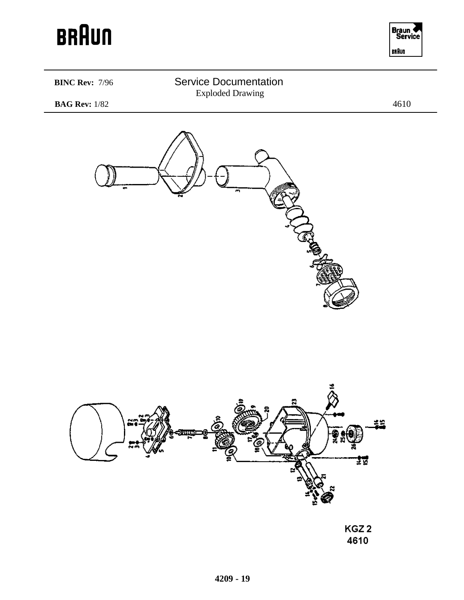

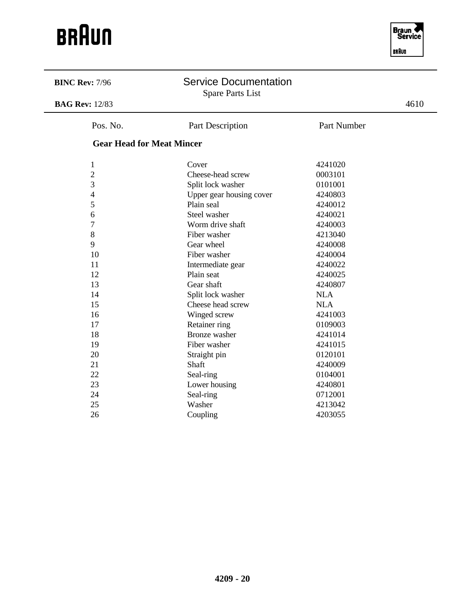

÷.

| <b>BINC Rev: 7/96</b>            | <b>Service Documentation</b><br><b>Spare Parts List</b> |             |      |
|----------------------------------|---------------------------------------------------------|-------------|------|
| <b>BAG Rev: 12/83</b>            |                                                         |             | 4610 |
| Pos. No.                         | Part Description                                        | Part Number |      |
| <b>Gear Head for Meat Mincer</b> |                                                         |             |      |
| $\mathbf{1}$                     | Cover                                                   | 4241020     |      |
| $\mathbf{2}$                     | Cheese-head screw                                       | 0003101     |      |
| 3                                | Split lock washer                                       | 0101001     |      |
| $\overline{\mathcal{A}}$         | Upper gear housing cover                                | 4240803     |      |
| 5                                | Plain seal                                              | 4240012     |      |
| 6                                | Steel washer                                            | 4240021     |      |
| $\overline{7}$                   | Worm drive shaft                                        | 4240003     |      |
| 8                                | Fiber washer                                            | 4213040     |      |
| 9                                | Gear wheel                                              | 4240008     |      |
| 10                               | Fiber washer                                            | 4240004     |      |
| 11                               | Intermediate gear                                       | 4240022     |      |
| 12                               | Plain seat                                              | 4240025     |      |
| 13                               | Gear shaft                                              | 4240807     |      |
| 14                               | Split lock washer                                       | <b>NLA</b>  |      |
| 15                               | Cheese head screw                                       | <b>NLA</b>  |      |
| 16                               | Winged screw                                            | 4241003     |      |
| 17                               | Retainer ring                                           | 0109003     |      |
| 18                               | <b>Bronze</b> washer                                    | 4241014     |      |
| 19                               | Fiber washer                                            | 4241015     |      |
| 20                               | Straight pin                                            | 0120101     |      |
| 21                               | Shaft                                                   | 4240009     |      |
| 22                               | Seal-ring                                               | 0104001     |      |
| 23                               | Lower housing                                           | 4240801     |      |
| 24                               | Seal-ring                                               | 0712001     |      |
| 25                               | Washer                                                  | 4213042     |      |
| 26                               | Coupling                                                | 4203055     |      |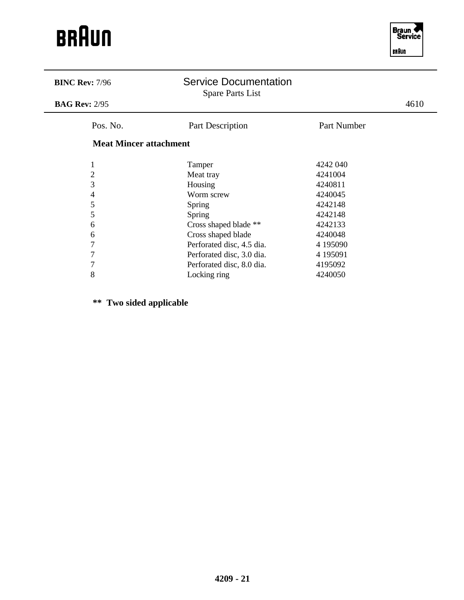

 $\overline{\phantom{0}}$ 

| <b>BINC Rev: 7/96</b>         | <b>Service Documentation</b><br><b>Spare Parts List</b> |             |      |
|-------------------------------|---------------------------------------------------------|-------------|------|
| <b>BAG Rev: 2/95</b>          |                                                         |             | 4610 |
| Pos. No.                      | Part Description                                        | Part Number |      |
| <b>Meat Mincer attachment</b> |                                                         |             |      |
| 1                             | Tamper                                                  | 4242 040    |      |
| $\overline{2}$                | Meat tray                                               | 4241004     |      |
| 3                             | Housing                                                 | 4240811     |      |
| 4                             | Worm screw                                              | 4240045     |      |
| 5                             | <b>Spring</b>                                           | 4242148     |      |
| 5                             | Spring                                                  | 4242148     |      |
| 6                             | Cross shaped blade **                                   | 4242133     |      |
| 6                             | Cross shaped blade                                      | 4240048     |      |
| 7                             | Perforated disc, 4.5 dia.                               | 4 195090    |      |
| 7                             | Perforated disc, 3.0 dia.                               | 4 195091    |      |
| 7                             | Perforated disc, 8.0 dia.                               | 4195092     |      |
| 8                             | Locking ring                                            | 4240050     |      |

**\*\* Two sided applicable**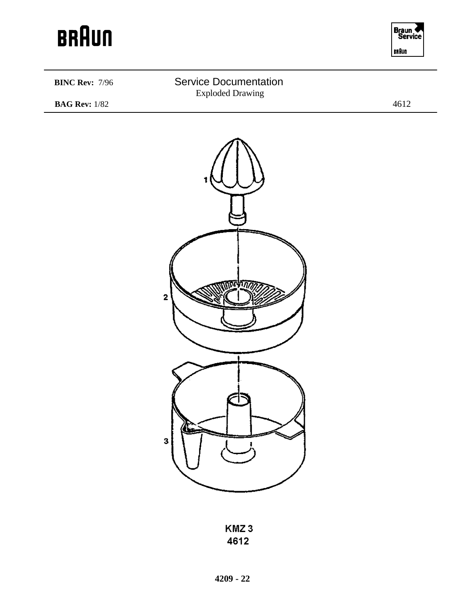



KMZ3 4612

**4209 - 22**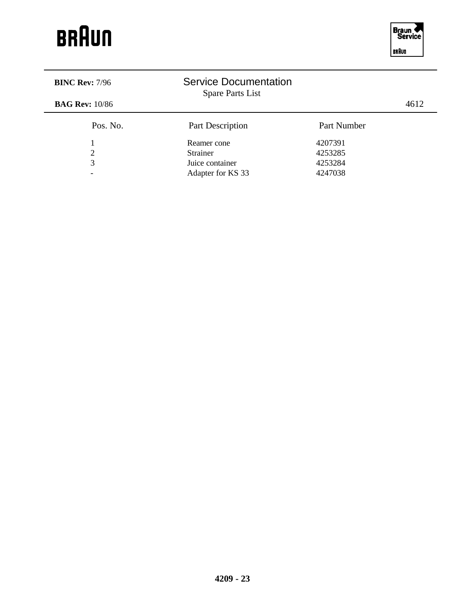| <b>BINC Rev: 7/96</b>    | <b>Service Documentation</b><br>Spare Parts List |             |      |
|--------------------------|--------------------------------------------------|-------------|------|
| <b>BAG Rev:</b> 10/86    |                                                  |             | 4612 |
| Pos. No.                 | Part Description                                 | Part Number |      |
|                          | Reamer cone                                      | 4207391     |      |
| $\overline{2}$           | <b>Strainer</b>                                  | 4253285     |      |
| 3                        | Juice container                                  | 4253284     |      |
| $\overline{\phantom{0}}$ | Adapter for KS 33                                | 4247038     |      |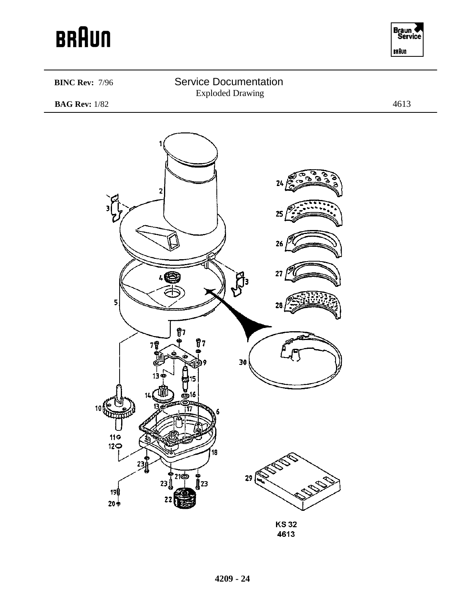

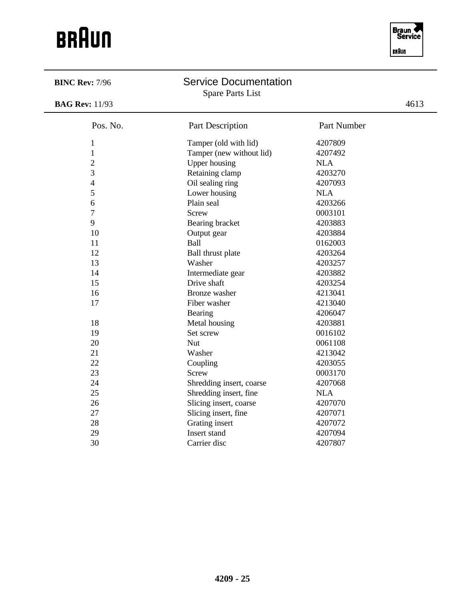

| 4613<br><b>BAG Rev: 11/93</b><br>Pos. No.<br>Part Description<br>Part Number<br>Tamper (old with lid)<br>4207809<br>$\mathbf{1}$<br>$\mathbf{1}$<br>Tamper (new without lid)<br>4207492<br>$\overline{2}$<br><b>Upper housing</b><br><b>NLA</b><br>3<br>4203270<br>Retaining clamp<br>$\overline{\mathcal{A}}$<br>Oil sealing ring<br>4207093<br>5<br>Lower housing<br><b>NLA</b><br>6<br>Plain seal<br>4203266<br>$\overline{7}$<br>0003101<br><b>Screw</b><br>9<br>4203883<br>Bearing bracket<br>10<br>4203884<br>Output gear<br>11<br>Ball<br>0162003<br>12<br>4203264<br>Ball thrust plate<br>13<br>Washer<br>4203257<br>14<br>4203882<br>Intermediate gear<br>15<br>Drive shaft<br>4203254<br>16<br><b>Bronze</b> washer<br>4213041<br>Fiber washer<br>17<br>4213040<br>Bearing<br>4206047<br>18<br>Metal housing<br>4203881<br>19<br>Set screw<br>0016102<br>20<br><b>Nut</b><br>0061108<br>21<br>Washer<br>4213042<br>22<br>Coupling<br>4203055<br>23<br>0003170<br><b>Screw</b><br>24<br>4207068<br>Shredding insert, coarse<br>25<br>Shredding insert, fine<br><b>NLA</b><br>26<br>Slicing insert, coarse<br>4207070<br>27<br>Slicing insert, fine<br>4207071<br>28<br>Grating insert<br>4207072<br>29<br>Insert stand<br>4207094 | <b>BINC Rev: 7/96</b> | <b>Service Documentation</b><br><b>Spare Parts List</b> |         |  |
|--------------------------------------------------------------------------------------------------------------------------------------------------------------------------------------------------------------------------------------------------------------------------------------------------------------------------------------------------------------------------------------------------------------------------------------------------------------------------------------------------------------------------------------------------------------------------------------------------------------------------------------------------------------------------------------------------------------------------------------------------------------------------------------------------------------------------------------------------------------------------------------------------------------------------------------------------------------------------------------------------------------------------------------------------------------------------------------------------------------------------------------------------------------------------------------------------------------------------------------------|-----------------------|---------------------------------------------------------|---------|--|
|                                                                                                                                                                                                                                                                                                                                                                                                                                                                                                                                                                                                                                                                                                                                                                                                                                                                                                                                                                                                                                                                                                                                                                                                                                            |                       |                                                         |         |  |
|                                                                                                                                                                                                                                                                                                                                                                                                                                                                                                                                                                                                                                                                                                                                                                                                                                                                                                                                                                                                                                                                                                                                                                                                                                            |                       |                                                         |         |  |
|                                                                                                                                                                                                                                                                                                                                                                                                                                                                                                                                                                                                                                                                                                                                                                                                                                                                                                                                                                                                                                                                                                                                                                                                                                            |                       |                                                         |         |  |
|                                                                                                                                                                                                                                                                                                                                                                                                                                                                                                                                                                                                                                                                                                                                                                                                                                                                                                                                                                                                                                                                                                                                                                                                                                            |                       |                                                         |         |  |
|                                                                                                                                                                                                                                                                                                                                                                                                                                                                                                                                                                                                                                                                                                                                                                                                                                                                                                                                                                                                                                                                                                                                                                                                                                            |                       |                                                         |         |  |
|                                                                                                                                                                                                                                                                                                                                                                                                                                                                                                                                                                                                                                                                                                                                                                                                                                                                                                                                                                                                                                                                                                                                                                                                                                            |                       |                                                         |         |  |
|                                                                                                                                                                                                                                                                                                                                                                                                                                                                                                                                                                                                                                                                                                                                                                                                                                                                                                                                                                                                                                                                                                                                                                                                                                            |                       |                                                         |         |  |
|                                                                                                                                                                                                                                                                                                                                                                                                                                                                                                                                                                                                                                                                                                                                                                                                                                                                                                                                                                                                                                                                                                                                                                                                                                            |                       |                                                         |         |  |
|                                                                                                                                                                                                                                                                                                                                                                                                                                                                                                                                                                                                                                                                                                                                                                                                                                                                                                                                                                                                                                                                                                                                                                                                                                            |                       |                                                         |         |  |
|                                                                                                                                                                                                                                                                                                                                                                                                                                                                                                                                                                                                                                                                                                                                                                                                                                                                                                                                                                                                                                                                                                                                                                                                                                            |                       |                                                         |         |  |
|                                                                                                                                                                                                                                                                                                                                                                                                                                                                                                                                                                                                                                                                                                                                                                                                                                                                                                                                                                                                                                                                                                                                                                                                                                            |                       |                                                         |         |  |
|                                                                                                                                                                                                                                                                                                                                                                                                                                                                                                                                                                                                                                                                                                                                                                                                                                                                                                                                                                                                                                                                                                                                                                                                                                            |                       |                                                         |         |  |
|                                                                                                                                                                                                                                                                                                                                                                                                                                                                                                                                                                                                                                                                                                                                                                                                                                                                                                                                                                                                                                                                                                                                                                                                                                            |                       |                                                         |         |  |
|                                                                                                                                                                                                                                                                                                                                                                                                                                                                                                                                                                                                                                                                                                                                                                                                                                                                                                                                                                                                                                                                                                                                                                                                                                            |                       |                                                         |         |  |
|                                                                                                                                                                                                                                                                                                                                                                                                                                                                                                                                                                                                                                                                                                                                                                                                                                                                                                                                                                                                                                                                                                                                                                                                                                            |                       |                                                         |         |  |
|                                                                                                                                                                                                                                                                                                                                                                                                                                                                                                                                                                                                                                                                                                                                                                                                                                                                                                                                                                                                                                                                                                                                                                                                                                            |                       |                                                         |         |  |
|                                                                                                                                                                                                                                                                                                                                                                                                                                                                                                                                                                                                                                                                                                                                                                                                                                                                                                                                                                                                                                                                                                                                                                                                                                            |                       |                                                         |         |  |
|                                                                                                                                                                                                                                                                                                                                                                                                                                                                                                                                                                                                                                                                                                                                                                                                                                                                                                                                                                                                                                                                                                                                                                                                                                            |                       |                                                         |         |  |
|                                                                                                                                                                                                                                                                                                                                                                                                                                                                                                                                                                                                                                                                                                                                                                                                                                                                                                                                                                                                                                                                                                                                                                                                                                            |                       |                                                         |         |  |
|                                                                                                                                                                                                                                                                                                                                                                                                                                                                                                                                                                                                                                                                                                                                                                                                                                                                                                                                                                                                                                                                                                                                                                                                                                            |                       |                                                         |         |  |
|                                                                                                                                                                                                                                                                                                                                                                                                                                                                                                                                                                                                                                                                                                                                                                                                                                                                                                                                                                                                                                                                                                                                                                                                                                            |                       |                                                         |         |  |
|                                                                                                                                                                                                                                                                                                                                                                                                                                                                                                                                                                                                                                                                                                                                                                                                                                                                                                                                                                                                                                                                                                                                                                                                                                            |                       |                                                         |         |  |
|                                                                                                                                                                                                                                                                                                                                                                                                                                                                                                                                                                                                                                                                                                                                                                                                                                                                                                                                                                                                                                                                                                                                                                                                                                            |                       |                                                         |         |  |
|                                                                                                                                                                                                                                                                                                                                                                                                                                                                                                                                                                                                                                                                                                                                                                                                                                                                                                                                                                                                                                                                                                                                                                                                                                            |                       |                                                         |         |  |
|                                                                                                                                                                                                                                                                                                                                                                                                                                                                                                                                                                                                                                                                                                                                                                                                                                                                                                                                                                                                                                                                                                                                                                                                                                            |                       |                                                         |         |  |
|                                                                                                                                                                                                                                                                                                                                                                                                                                                                                                                                                                                                                                                                                                                                                                                                                                                                                                                                                                                                                                                                                                                                                                                                                                            |                       |                                                         |         |  |
|                                                                                                                                                                                                                                                                                                                                                                                                                                                                                                                                                                                                                                                                                                                                                                                                                                                                                                                                                                                                                                                                                                                                                                                                                                            |                       |                                                         |         |  |
|                                                                                                                                                                                                                                                                                                                                                                                                                                                                                                                                                                                                                                                                                                                                                                                                                                                                                                                                                                                                                                                                                                                                                                                                                                            |                       |                                                         |         |  |
|                                                                                                                                                                                                                                                                                                                                                                                                                                                                                                                                                                                                                                                                                                                                                                                                                                                                                                                                                                                                                                                                                                                                                                                                                                            |                       |                                                         |         |  |
|                                                                                                                                                                                                                                                                                                                                                                                                                                                                                                                                                                                                                                                                                                                                                                                                                                                                                                                                                                                                                                                                                                                                                                                                                                            |                       |                                                         |         |  |
|                                                                                                                                                                                                                                                                                                                                                                                                                                                                                                                                                                                                                                                                                                                                                                                                                                                                                                                                                                                                                                                                                                                                                                                                                                            |                       |                                                         |         |  |
|                                                                                                                                                                                                                                                                                                                                                                                                                                                                                                                                                                                                                                                                                                                                                                                                                                                                                                                                                                                                                                                                                                                                                                                                                                            |                       |                                                         |         |  |
|                                                                                                                                                                                                                                                                                                                                                                                                                                                                                                                                                                                                                                                                                                                                                                                                                                                                                                                                                                                                                                                                                                                                                                                                                                            | 30                    | Carrier disc                                            | 4207807 |  |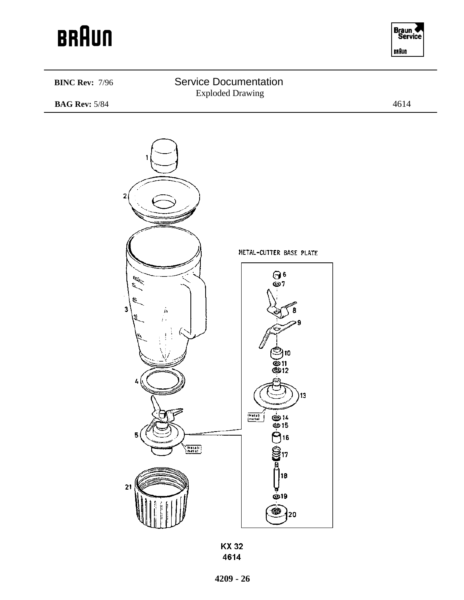





**KX32** 4614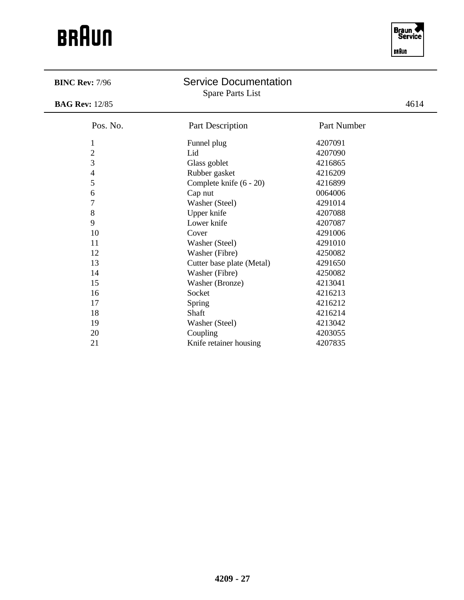

 $\overline{\phantom{0}}$ 

| <b>BINC Rev: 7/96</b>    | <b>Service Documentation</b><br><b>Spare Parts List</b> |             |      |
|--------------------------|---------------------------------------------------------|-------------|------|
| <b>BAG Rev: 12/85</b>    |                                                         |             | 4614 |
| Pos. No.                 | <b>Part Description</b>                                 | Part Number |      |
| $\mathbf{1}$             | Funnel plug                                             | 4207091     |      |
| $\overline{2}$           | Lid                                                     | 4207090     |      |
| 3                        | Glass goblet                                            | 4216865     |      |
| $\overline{\mathcal{A}}$ | Rubber gasket                                           | 4216209     |      |
| 5                        | Complete knife (6 - 20)                                 | 4216899     |      |
| 6                        | Cap nut                                                 | 0064006     |      |
| $\overline{7}$           | Washer (Steel)                                          | 4291014     |      |
| $8\,$                    | Upper knife                                             | 4207088     |      |
| 9                        | Lower knife                                             | 4207087     |      |
| 10                       | Cover                                                   | 4291006     |      |
| 11                       | Washer (Steel)                                          | 4291010     |      |
| 12                       | Washer (Fibre)                                          | 4250082     |      |
| 13                       | Cutter base plate (Metal)                               | 4291650     |      |
| 14                       | Washer (Fibre)                                          | 4250082     |      |
| 15                       | Washer (Bronze)                                         | 4213041     |      |
| 16                       | Socket                                                  | 4216213     |      |
| 17                       | Spring                                                  | 4216212     |      |
| 18                       | Shaft                                                   | 4216214     |      |
| 19                       | Washer (Steel)                                          | 4213042     |      |
| 20                       | Coupling                                                | 4203055     |      |
| 21                       | Knife retainer housing                                  | 4207835     |      |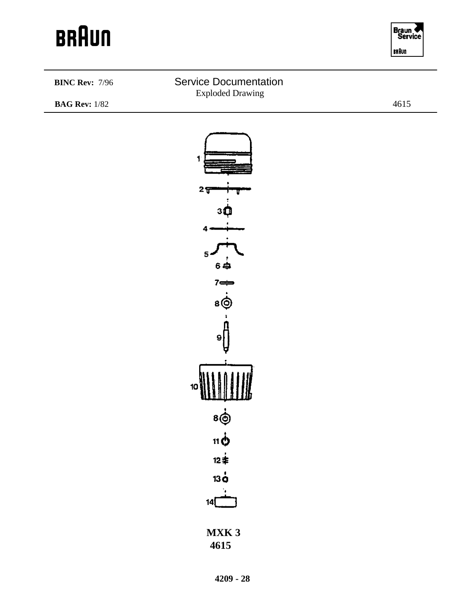